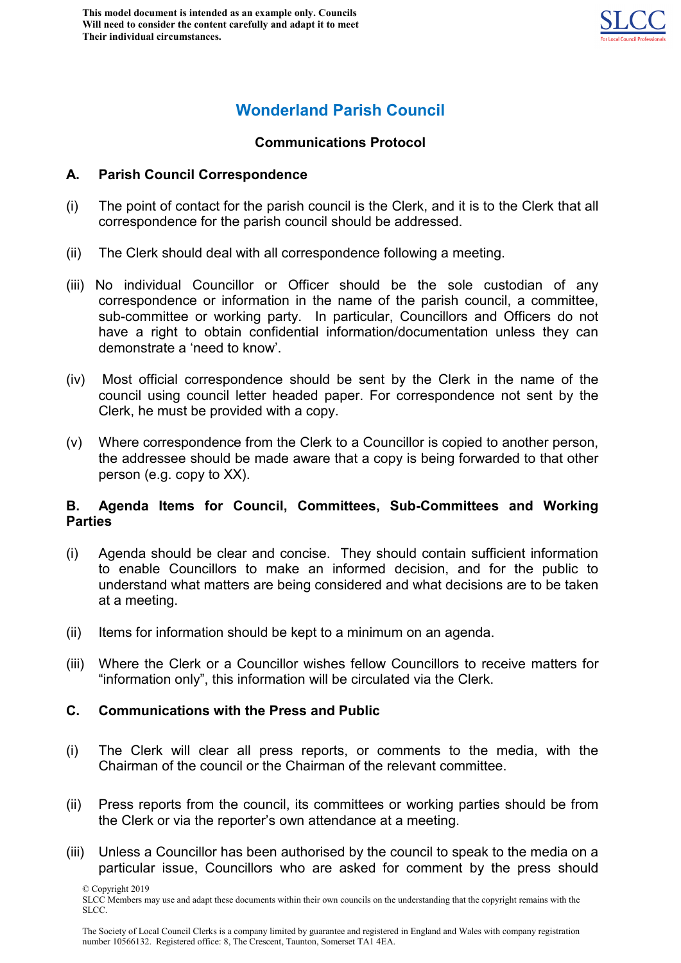

# **Wonderland Parish Council**

#### **Communications Protocol**

#### **A. Parish Council Correspondence**

- (i) The point of contact for the parish council is the Clerk, and it is to the Clerk that all correspondence for the parish council should be addressed.
- (ii) The Clerk should deal with all correspondence following a meeting.
- (iii) No individual Councillor or Officer should be the sole custodian of any correspondence or information in the name of the parish council, a committee, sub-committee or working party. In particular, Councillors and Officers do not have a right to obtain confidential information/documentation unless they can demonstrate a 'need to know'.
- (iv) Most official correspondence should be sent by the Clerk in the name of the council using council letter headed paper. For correspondence not sent by the Clerk, he must be provided with a copy.
- (v) Where correspondence from the Clerk to a Councillor is copied to another person, the addressee should be made aware that a copy is being forwarded to that other person (e.g. copy to XX).

#### **B. Agenda Items for Council, Committees, Sub-Committees and Working Parties**

- (i) Agenda should be clear and concise. They should contain sufficient information to enable Councillors to make an informed decision, and for the public to understand what matters are being considered and what decisions are to be taken at a meeting.
- (ii) Items for information should be kept to a minimum on an agenda.
- (iii) Where the Clerk or a Councillor wishes fellow Councillors to receive matters for "information only", this information will be circulated via the Clerk.

## **C. Communications with the Press and Public**

- (i) The Clerk will clear all press reports, or comments to the media, with the Chairman of the council or the Chairman of the relevant committee.
- (ii) Press reports from the council, its committees or working parties should be from the Clerk or via the reporter's own attendance at a meeting.
- (iii) Unless a Councillor has been authorised by the council to speak to the media on a particular issue, Councillors who are asked for comment by the press should

© Copyright 2019 SLCC Members may use and adapt these documents within their own councils on the understanding that the copyright remains with the SLCC.